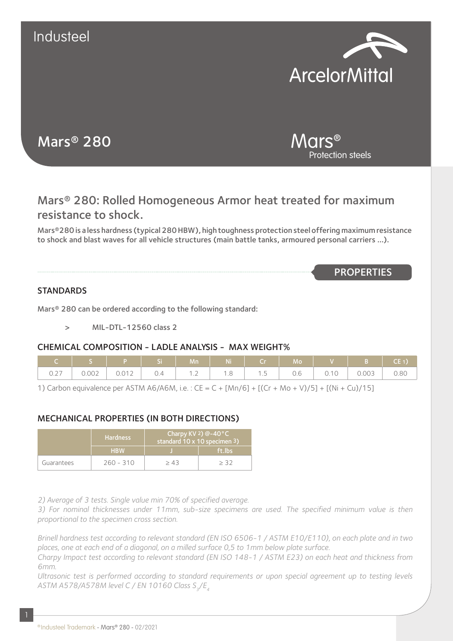

Protection steels

Mars®

# Mars® 280

## Mars® 280: Rolled Homogeneous Armor heat treated for maximum resistance to shock.

Mars®280 is a less hardness (typical 280 HBW), high toughness protection steel offering maximum resistance to shock and blast waves for all vehicle structures (main battle tanks, armoured personal carriers …).

**PROPERTIES** 

### **STANDARDS**

Mars® 280 can be ordered according to the following standard:

> MIL-DTL-12560 class 2

### CHEMICAL COMPOSITION - LADLE ANALYSIS - MAX WEIGHT%

| C   S   P   Si   Mn   Ni   Cr   Mo   V   B   CE1) <i> </i> |  |  |  |  |  |
|------------------------------------------------------------|--|--|--|--|--|
|                                                            |  |  |  |  |  |

1) Carbon equivalence per ASTM A6/A6M, i.e. : CE = C + [Mn/6] + [(Cr + Mo + V)/5] + [(Ni + Cu)/15]

### MECHANICAL PROPERTIES (IN BOTH DIRECTIONS)

|            | <b>Hardness</b> | Charpy KV 2) $@-40°C$<br>standard 10 x 10 specimen 3) |        |  |  |
|------------|-----------------|-------------------------------------------------------|--------|--|--|
|            | <b>HBW</b>      |                                                       | ft.lbs |  |  |
| Guarantees | $260 - 310$     | > 43                                                  | > 3つ   |  |  |

*2) Average of 3 tests. Single value min 70% of specified average.*

*3) For nominal thicknesses under 11mm, sub-size specimens are used. The specified minimum value is then proportional to the specimen cross section.*

*Brinell hardness test according to relevant standard (EN ISO 6506-1 / ASTM E10/E110), on each plate and in two places, one at each end of a diagonal, on a milled surface 0,5 to 1mm below plate surface.*

*Charpy Impact test according to relevant standard (EN ISO 148-1 / ASTM E23) on each heat and thickness from 6mm.*

*Ultrasonic test is performed according to standard requirements or upon special agreement up to testing levels*  ASTM A578/A578M level C / EN 10160 Class S<sub>2</sub>/E<sub>4</sub>